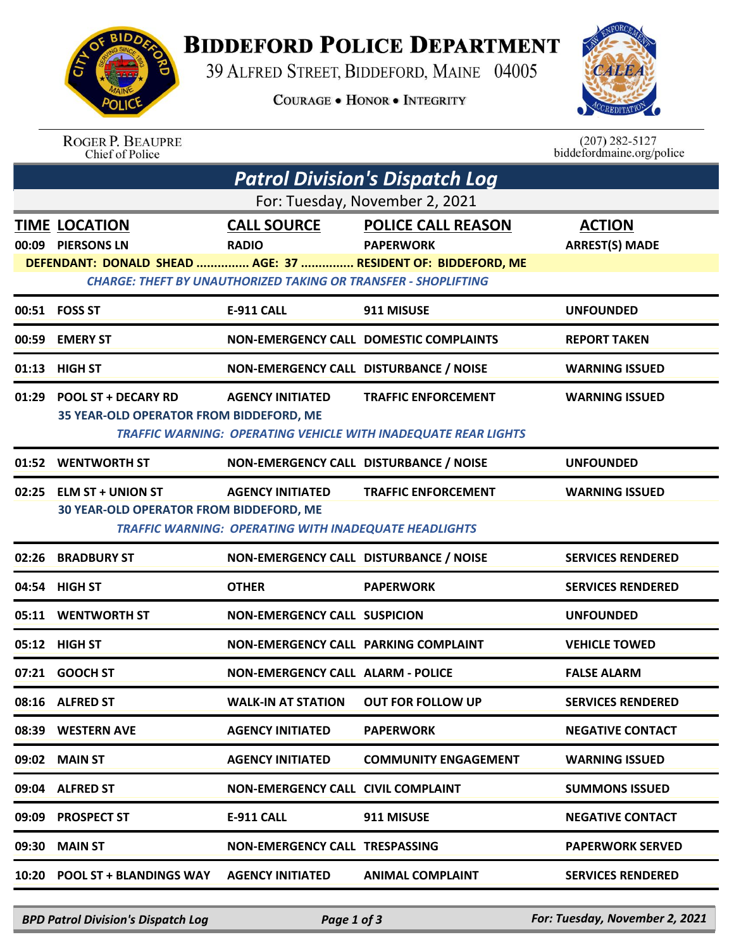

## **BIDDEFORD POLICE DEPARTMENT**

39 ALFRED STREET, BIDDEFORD, MAINE 04005

**COURAGE . HONOR . INTEGRITY** 



ROGER P. BEAUPRE<br>Chief of Police

 $(207)$  282-5127<br>biddefordmaine.org/police

| Patrol Division's Dispatch Log |                                                                       |                                                              |                                                                       |                          |  |  |
|--------------------------------|-----------------------------------------------------------------------|--------------------------------------------------------------|-----------------------------------------------------------------------|--------------------------|--|--|
| For: Tuesday, November 2, 2021 |                                                                       |                                                              |                                                                       |                          |  |  |
|                                | <b>TIME LOCATION</b>                                                  | <b>CALL SOURCE</b>                                           | <b>POLICE CALL REASON</b>                                             | <b>ACTION</b>            |  |  |
|                                | 00:09 PIERSONS LN                                                     | <b>RADIO</b>                                                 | <b>PAPERWORK</b>                                                      | <b>ARREST(S) MADE</b>    |  |  |
|                                |                                                                       |                                                              | DEFENDANT: DONALD SHEAD  AGE: 37  RESIDENT OF: BIDDEFORD, ME          |                          |  |  |
|                                | <b>CHARGE: THEFT BY UNAUTHORIZED TAKING OR TRANSFER - SHOPLIFTING</b> |                                                              |                                                                       |                          |  |  |
|                                | 00:51 FOSS ST                                                         | <b>E-911 CALL</b>                                            | 911 MISUSE                                                            | <b>UNFOUNDED</b>         |  |  |
|                                | 00:59 EMERY ST                                                        |                                                              | NON-EMERGENCY CALL DOMESTIC COMPLAINTS                                | <b>REPORT TAKEN</b>      |  |  |
|                                | 01:13 HIGH ST                                                         | NON-EMERGENCY CALL DISTURBANCE / NOISE                       |                                                                       | <b>WARNING ISSUED</b>    |  |  |
|                                | 01:29 POOL ST + DECARY RD                                             | <b>AGENCY INITIATED</b>                                      | <b>TRAFFIC ENFORCEMENT</b>                                            | <b>WARNING ISSUED</b>    |  |  |
|                                | 35 YEAR-OLD OPERATOR FROM BIDDEFORD, ME                               |                                                              |                                                                       |                          |  |  |
|                                |                                                                       |                                                              | <b>TRAFFIC WARNING: OPERATING VEHICLE WITH INADEQUATE REAR LIGHTS</b> |                          |  |  |
|                                | 01:52 WENTWORTH ST                                                    | NON-EMERGENCY CALL DISTURBANCE / NOISE                       |                                                                       | <b>UNFOUNDED</b>         |  |  |
|                                | 02:25 ELM ST + UNION ST                                               | <b>AGENCY INITIATED</b>                                      | <b>TRAFFIC ENFORCEMENT</b>                                            | <b>WARNING ISSUED</b>    |  |  |
|                                | 30 YEAR-OLD OPERATOR FROM BIDDEFORD, ME                               |                                                              |                                                                       |                          |  |  |
|                                |                                                                       | <b>TRAFFIC WARNING: OPERATING WITH INADEQUATE HEADLIGHTS</b> |                                                                       |                          |  |  |
|                                | 02:26 BRADBURY ST                                                     | NON-EMERGENCY CALL DISTURBANCE / NOISE                       |                                                                       | <b>SERVICES RENDERED</b> |  |  |
|                                | 04:54 HIGH ST                                                         | <b>OTHER</b>                                                 | <b>PAPERWORK</b>                                                      | <b>SERVICES RENDERED</b> |  |  |
|                                | 05:11 WENTWORTH ST                                                    | <b>NON-EMERGENCY CALL SUSPICION</b>                          |                                                                       | <b>UNFOUNDED</b>         |  |  |
|                                | 05:12 HIGH ST                                                         | NON-EMERGENCY CALL PARKING COMPLAINT                         |                                                                       | <b>VEHICLE TOWED</b>     |  |  |
|                                | 07:21 GOOCH ST                                                        | <b>NON-EMERGENCY CALL ALARM - POLICE</b>                     |                                                                       | <b>FALSE ALARM</b>       |  |  |
|                                | 08:16 ALFRED ST                                                       | <b>WALK-IN AT STATION</b>                                    | <b>OUT FOR FOLLOW UP</b>                                              | <b>SERVICES RENDERED</b> |  |  |
|                                | 08:39 WESTERN AVE                                                     | <b>AGENCY INITIATED</b>                                      | <b>PAPERWORK</b>                                                      | <b>NEGATIVE CONTACT</b>  |  |  |
|                                | 09:02 MAIN ST                                                         | <b>AGENCY INITIATED</b>                                      | <b>COMMUNITY ENGAGEMENT</b>                                           | <b>WARNING ISSUED</b>    |  |  |
|                                | 09:04 ALFRED ST                                                       | <b>NON-EMERGENCY CALL CIVIL COMPLAINT</b>                    |                                                                       | <b>SUMMONS ISSUED</b>    |  |  |
|                                | 09:09 PROSPECT ST                                                     | E-911 CALL                                                   | 911 MISUSE                                                            | <b>NEGATIVE CONTACT</b>  |  |  |
|                                | 09:30 MAIN ST                                                         | NON-EMERGENCY CALL TRESPASSING                               |                                                                       | <b>PAPERWORK SERVED</b>  |  |  |
|                                | 10:20 POOL ST + BLANDINGS WAY AGENCY INITIATED                        |                                                              | <b>ANIMAL COMPLAINT</b>                                               | <b>SERVICES RENDERED</b> |  |  |
|                                |                                                                       |                                                              |                                                                       |                          |  |  |

*BPD Patrol Division's Dispatch Log Page 1 of 3 For: Tuesday, November 2, 2021*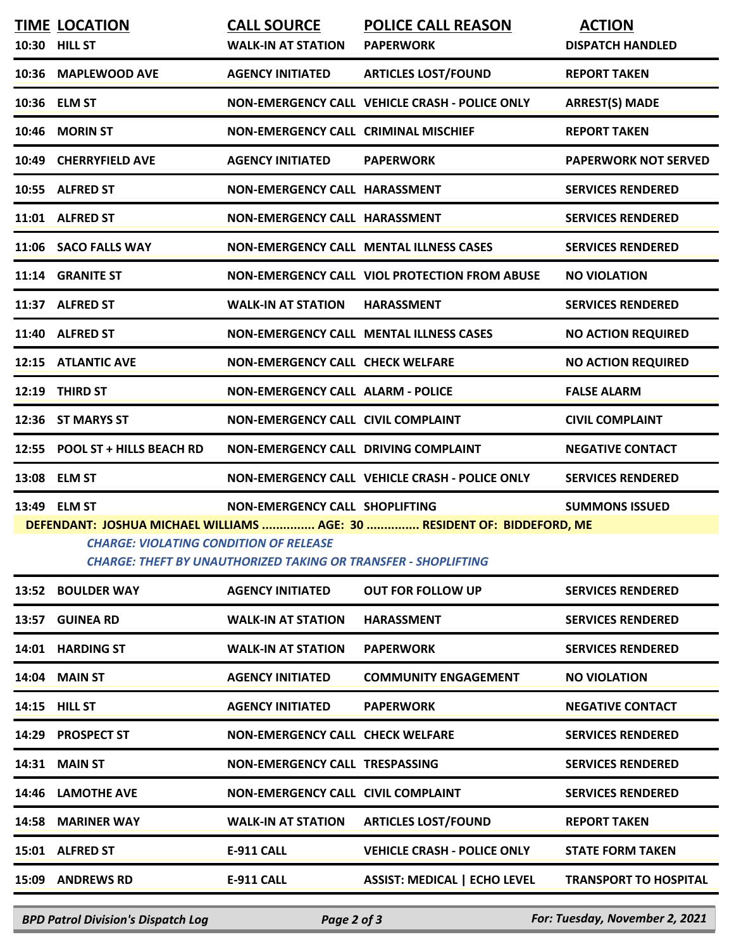|                                                                                                                                                                                                   | <b>TIME LOCATION</b><br>10:30 HILL ST | <b>CALL SOURCE</b><br><b>WALK-IN AT STATION</b> | <b>POLICE CALL REASON</b><br><b>PAPERWORK</b>  | <b>ACTION</b><br><b>DISPATCH HANDLED</b> |  |
|---------------------------------------------------------------------------------------------------------------------------------------------------------------------------------------------------|---------------------------------------|-------------------------------------------------|------------------------------------------------|------------------------------------------|--|
|                                                                                                                                                                                                   | 10:36 MAPLEWOOD AVE                   | <b>AGENCY INITIATED</b>                         | <b>ARTICLES LOST/FOUND</b>                     | <b>REPORT TAKEN</b>                      |  |
|                                                                                                                                                                                                   | 10:36 ELM ST                          |                                                 | NON-EMERGENCY CALL VEHICLE CRASH - POLICE ONLY | <b>ARREST(S) MADE</b>                    |  |
| 10:46                                                                                                                                                                                             | <b>MORIN ST</b>                       | <b>NON-EMERGENCY CALL CRIMINAL MISCHIEF</b>     |                                                | <b>REPORT TAKEN</b>                      |  |
| 10:49                                                                                                                                                                                             | <b>CHERRYFIELD AVE</b>                | <b>AGENCY INITIATED</b>                         | <b>PAPERWORK</b>                               | <b>PAPERWORK NOT SERVED</b>              |  |
|                                                                                                                                                                                                   | 10:55 ALFRED ST                       | NON-EMERGENCY CALL HARASSMENT                   |                                                | <b>SERVICES RENDERED</b>                 |  |
|                                                                                                                                                                                                   | 11:01 ALFRED ST                       | NON-EMERGENCY CALL HARASSMENT                   |                                                | <b>SERVICES RENDERED</b>                 |  |
|                                                                                                                                                                                                   | 11:06 SACO FALLS WAY                  |                                                 | <b>NON-EMERGENCY CALL MENTAL ILLNESS CASES</b> | <b>SERVICES RENDERED</b>                 |  |
|                                                                                                                                                                                                   | 11:14 GRANITE ST                      |                                                 | NON-EMERGENCY CALL VIOL PROTECTION FROM ABUSE  | <b>NO VIOLATION</b>                      |  |
|                                                                                                                                                                                                   | 11:37 ALFRED ST                       | <b>WALK-IN AT STATION</b>                       | <b>HARASSMENT</b>                              | <b>SERVICES RENDERED</b>                 |  |
|                                                                                                                                                                                                   | 11:40 ALFRED ST                       |                                                 | <b>NON-EMERGENCY CALL MENTAL ILLNESS CASES</b> | <b>NO ACTION REQUIRED</b>                |  |
|                                                                                                                                                                                                   | 12:15 ATLANTIC AVE                    | <b>NON-EMERGENCY CALL CHECK WELFARE</b>         |                                                | <b>NO ACTION REQUIRED</b>                |  |
|                                                                                                                                                                                                   | 12:19 THIRD ST                        | <b>NON-EMERGENCY CALL ALARM - POLICE</b>        |                                                | <b>FALSE ALARM</b>                       |  |
|                                                                                                                                                                                                   | 12:36 ST MARYS ST                     | NON-EMERGENCY CALL CIVIL COMPLAINT              |                                                | <b>CIVIL COMPLAINT</b>                   |  |
|                                                                                                                                                                                                   | 12:55 POOL ST + HILLS BEACH RD        | NON-EMERGENCY CALL DRIVING COMPLAINT            |                                                | <b>NEGATIVE CONTACT</b>                  |  |
|                                                                                                                                                                                                   | 13:08 ELM ST                          |                                                 | NON-EMERGENCY CALL VEHICLE CRASH - POLICE ONLY | <b>SERVICES RENDERED</b>                 |  |
|                                                                                                                                                                                                   | 13:49 ELM ST                          | NON-EMERGENCY CALL SHOPLIFTING                  |                                                | <b>SUMMONS ISSUED</b>                    |  |
| DEFENDANT: JOSHUA MICHAEL WILLIAMS  AGE: 30  RESIDENT OF: BIDDEFORD, ME<br><b>CHARGE: VIOLATING CONDITION OF RELEASE</b><br><b>CHARGE: THEFT BY UNAUTHORIZED TAKING OR TRANSFER - SHOPLIFTING</b> |                                       |                                                 |                                                |                                          |  |
|                                                                                                                                                                                                   | 13:52 BOULDER WAY                     | <b>AGENCY INITIATED</b>                         | <b>OUT FOR FOLLOW UP</b>                       | <b>SERVICES RENDERED</b>                 |  |
|                                                                                                                                                                                                   | 13:57 GUINEA RD                       | <b>WALK-IN AT STATION</b>                       | <b>HARASSMENT</b>                              | <b>SERVICES RENDERED</b>                 |  |
|                                                                                                                                                                                                   | 14:01 HARDING ST                      | <b>WALK-IN AT STATION</b>                       | <b>PAPERWORK</b>                               | <b>SERVICES RENDERED</b>                 |  |
|                                                                                                                                                                                                   | <b>14:04 MAIN ST</b>                  | <b>AGENCY INITIATED</b>                         | <b>COMMUNITY ENGAGEMENT</b>                    | <b>NO VIOLATION</b>                      |  |
|                                                                                                                                                                                                   | 14:15 HILL ST                         | <b>AGENCY INITIATED</b>                         | <b>PAPERWORK</b>                               | <b>NEGATIVE CONTACT</b>                  |  |
| 14:29                                                                                                                                                                                             | <b>PROSPECT ST</b>                    | <b>NON-EMERGENCY CALL CHECK WELFARE</b>         |                                                | <b>SERVICES RENDERED</b>                 |  |
| 14:31                                                                                                                                                                                             | <b>MAIN ST</b>                        | NON-EMERGENCY CALL TRESPASSING                  |                                                | <b>SERVICES RENDERED</b>                 |  |
| 14:46                                                                                                                                                                                             | <b>LAMOTHE AVE</b>                    | NON-EMERGENCY CALL CIVIL COMPLAINT              |                                                | <b>SERVICES RENDERED</b>                 |  |
| 14:58                                                                                                                                                                                             | <b>MARINER WAY</b>                    | <b>WALK-IN AT STATION</b>                       | <b>ARTICLES LOST/FOUND</b>                     | <b>REPORT TAKEN</b>                      |  |
|                                                                                                                                                                                                   | 15:01 ALFRED ST                       | <b>E-911 CALL</b>                               | <b>VEHICLE CRASH - POLICE ONLY</b>             | <b>STATE FORM TAKEN</b>                  |  |
| 15:09                                                                                                                                                                                             | <b>ANDREWS RD</b>                     | <b>E-911 CALL</b>                               | <b>ASSIST: MEDICAL   ECHO LEVEL</b>            | <b>TRANSPORT TO HOSPITAL</b>             |  |

*BPD Patrol Division's Dispatch Log Page 2 of 3 For: Tuesday, November 2, 2021*